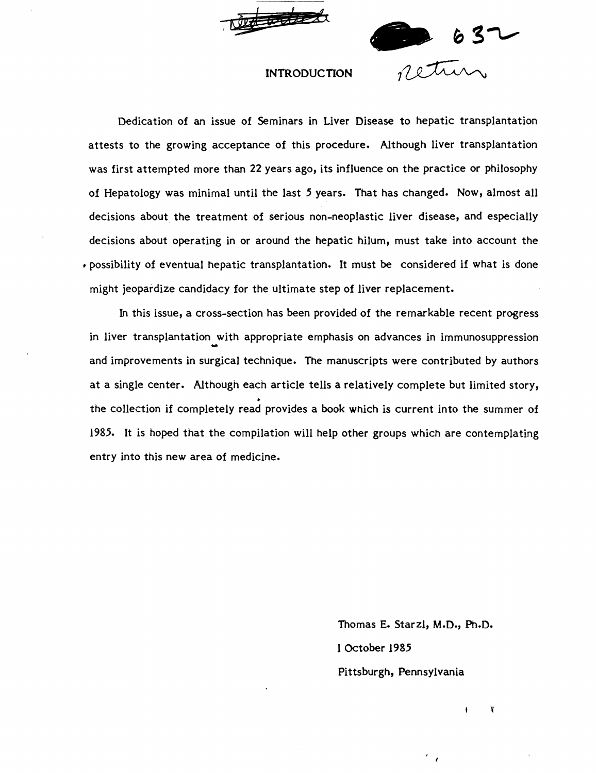

neture

## INTRODUCTION

Dedication of an issue of Seminars in Liver Disease to hepatic transplantation attests to the growing acceptance of this procedure. Although liver transplantation was first attempted more than 22 years ago, its influence on the practice or philosophy of Hepatology was minimal until the last 5 years. That has changed. Now, almost all decisions about the treatment of serious non-neoplastic llver disease, and especially decisions about operating in or around the hepatic hilum, must take into account the  $\epsilon$  possibility of eventual hepatic transplantation. It must be considered if what is done might jeopardize candidacy for the ultimate step of liver replacement.

In this issue, a cross-section has been provided of the remarkable recent progress in liver transplantation with appropriate emphasis on advances in immunosuppression and improvements in surgical technique. The manuscripts were contributed by authors at a single center. Although each article tells a relatively complete but limited story, • the collection if completely read provides a book which is current into the summer of 1985. It is hoped that the compilation will help other groups which are contemplating entry into this new area of medicine.

> Thomas E. Starzl, M.D., Ph.D. I October 1985 Pittsburgh, Pennsylvania

> > ł

Y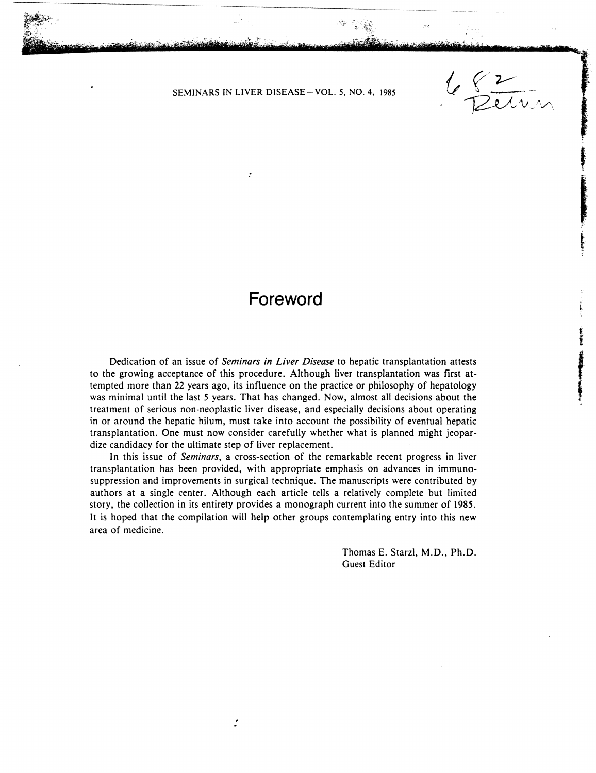SEMINARS IN LIVER DISEASE - VOL. 5, NO. 4, 1985

:

 $\cdots$ 

-------------\_\_ ~\_'\_e \_\_\_\_\_ ".

682

f<br>Franklingen

I fo'

**CHARGES** 

## **Foreword**

Dedication of an issue of *Seminars in Liver Disease* to hepatic transplantation attests to the growing acceptance of this procedure. Although liver transplantation was first attempted more than 22 years ago, its influence on the practice or philosophy of hepatology was minimal until the last 5 years. That has changed. Now, almost all decisions about the treatment of serious non-neoplastic liver disease, and especially decisions about operating in or around the hepatic hilum, must take into account the possibility of eventual hepatic transplantation. One must now consider carefully whether what is planned might jeopardize candidacy for the ultimate step of liver replacement.

In this issue of *Seminars,* a cross-section of the remarkable recent progress in liver transplantation has been provided, with appropriate emphasis on advances in immunosuppression and improvements in surgical technique. The manuscripts were contributed by authors at a single center. Although each article tells a relatively complete but limited story, the collection in its entirety provides a monograph current into the summer of 1985. It is hoped that the compilation will help other groups contemplating entry into this new area of medicine.

 $\cdot$ 

Thomas E. Starzl, M.D., Ph.D. Guest Editor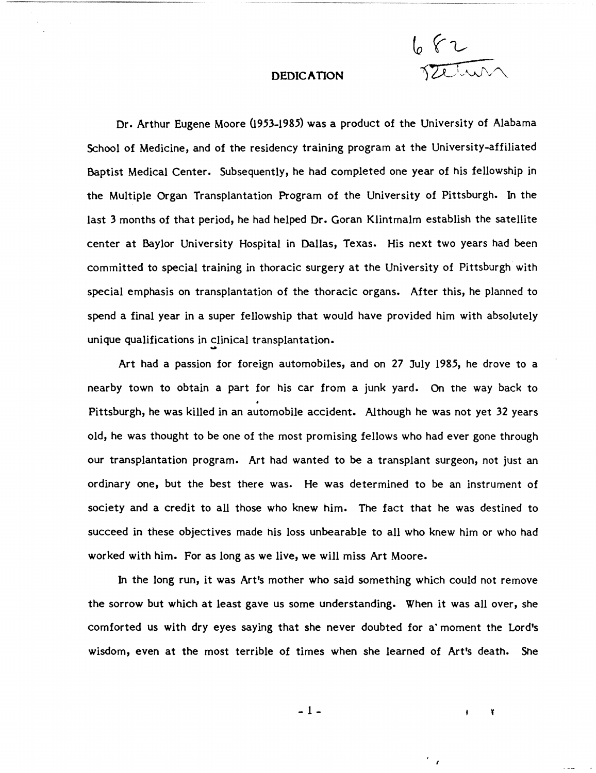$682$ 

 $\mathbf{I}$ 

 $\mathcal{L}_{\mathcal{A}}$ 

¥

## **DEDICATION**

Dr. Arthur Eugene Moore (1953-1985) was a product of the University of Alabama School of Medicine, and of the residency training program at the University-affiliated Baptist Medical Center. Subsequently, he had completed one year of his fellowship in the Multiple Organ Transplantation Program of the University of Pittsburgh. In the last 3 months of that period, he had helped Dr. Goran Klintmalm establish the satellite center at Baylor University Hospital in Dallas, Texas. His next two years had been committed to special training in thoracic surgery at the University of Pittsburgh· with special emphasis on transplantation of the thoracic organs. After this, he planned to spend a final year in a super fellowship that would have provided him with absolutely unique qualifications in clinical transplantation.<br>Art had a passion for foreign automobiles, and on 27 July 1985, he drove to a

nearby town to obtain a part for his car from a junk yard. On the way back to • Pittsburgh, he was killed in an automobile accident. Although he was not yet 32 years old, he was thought to be one of the most promising fellows who had ever gone through our transplantation program. Art had wanted to be a transplant surgeon, not just an ordinary one, but the best there was. He was determined to be an instrument of society and a credit to all those who knew him. The fact that he was destined to succeed in these objectives made his loss unbearable to all who knew him or who had worked with him. For as long as we live, we will miss Art Moore.

In the long run, it was Art's mother who said something which could not remove the sorrow but which at least gave us some understanding. When it was all over, she comforted us with dry eyes saying that she never doubted for a" moment the Lord's wisdom, even at the most terrible of times when she learned of Art's death. She

- 1 -